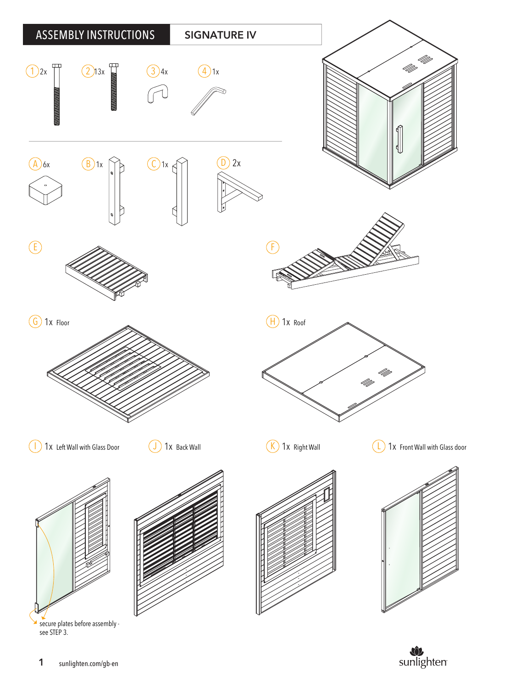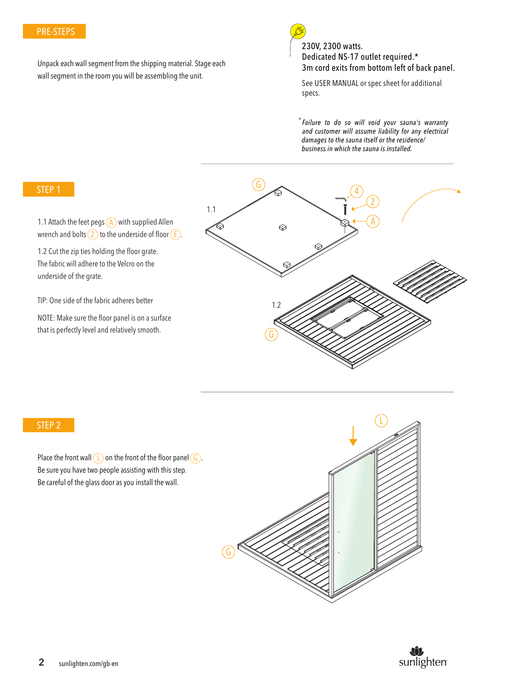## PRE-STEPS

Unpack each wall segment from the shipping material. Stage each wall segment in the room you will be assembling the unit.



230V, 2300 watts. Dedicated NS-17 outlet required.\* 3m cord exits from bottom left of back panel.

See USER MANUAL or spec sheet for additional specs.

\* *Failure to do so will void your sauna's warranty and customer will assume liability for any electrical damages to the sauna itself or the residence/ business in which the sauna is installed.*

### STEP 1

wrench and bolts (2) to the underside of floor (E). 1.1 Attach the feet pegs  $\overline{A}$  with supplied Allen

1.2 Cut the zip ties holding the floor grate. The fabric will adhere to the Velcro on the underside of the grate.

TIP: One side of the fabric adheres better

NOTE: Make sure the floor panel is on a surface that is perfectly level and relatively smooth.



#### STEP 2

Place the front wall  $(L)$  on the front of the floor panel  $(G)$ . Be sure you have two people assisting with this step. Be careful of the glass door as you install the wall.



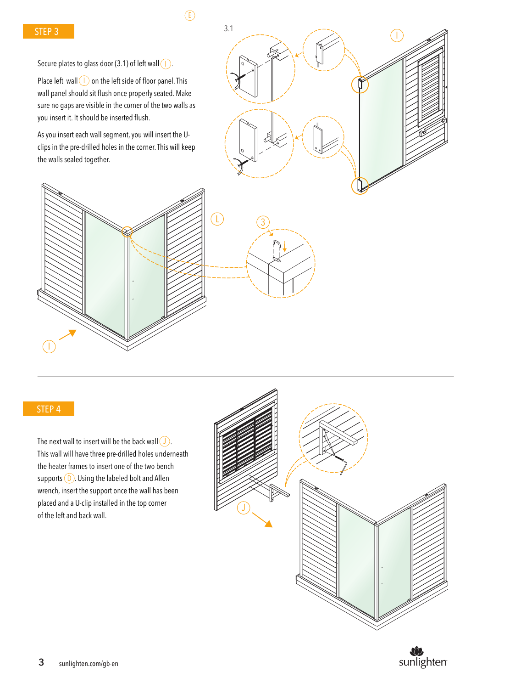$\mathcal{E}$ 

Secure plates to glass door (3.1) of left wall  $(1)$ .

Place left wall  $\left(1\right)$  on the left side of floor panel. This wall panel should sit flush once properly seated. Make sure no gaps are visible in the corner of the two walls as you insert it. It should be inserted flush.

As you insert each wall segment, you will insert the Uclips in the pre-drilled holes in the corner. This will keep the walls sealed together.







# STEP 4

The next wall to insert will be the back wall  $\bigcup$ . This wall will have three pre-drilled holes underneath the heater frames to insert one of the two bench supports  $(D)$ . Using the labeled bolt and Allen wrench, insert the support once the wall has been placed and a U-clip installed in the top corner of the left and back wall.